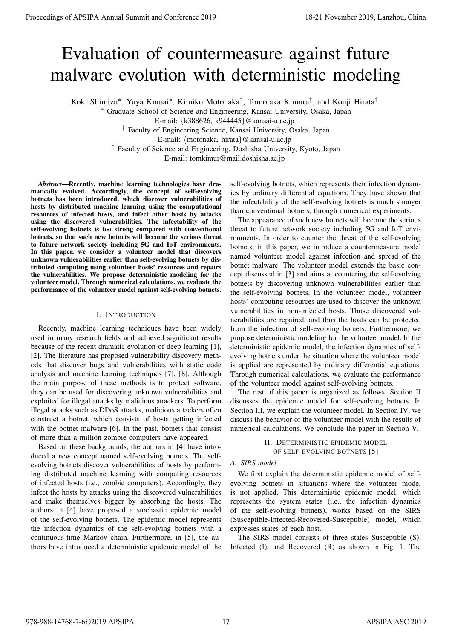# Evaluation of countermeasure against future malware evolution with deterministic modeling

Koki Shimizu*<sup>∗</sup>* , Yuya Kumai*<sup>∗</sup>* , Kimiko Motonaka*†* , Tomotaka Kimura*‡* , and Kouji Hirata*†*

*<sup>∗</sup>* Graduate School of Science and Engineering, Kansai University, Osaka, Japan

E-mail: *{*k388626, k944445*}*@kansai-u.ac.jp

*†* Faculty of Engineering Science, Kansai University, Osaka, Japan

E-mail: *{*motonaka, hirata*}*@kansai-u.ac.jp

*‡* Faculty of Science and Engineering, Doshisha University, Kyoto, Japan

E-mail: tomkimur@mail.doshisha.ac.jp

*Abstract*—Recently, machine learning technologies have dramatically evolved. Accordingly, the concept of self-evolving botnets has been introduced, which discover vulnerabilities of hosts by distributed machine learning using the computational resources of infected hosts, and infect other hosts by attacks using the discovered vulnerabilities. The infectability of the self-evolving botnets is too strong compared with conventional botnets, so that such new botnets will become the serious threat to future network society including 5G and IoT environments. In this paper, we consider a volunteer model that discovers unknown vulnerabilities earlier than self-evolving botnets by distributed computing using volunteer hosts' resources and repairs the vulnerabilities. We propose deterministic modeling for the volunteer model. Through numerical calculations, we evaluate the performance of the volunteer model against self-evolving botnets.

## I. INTRODUCTION

Recently, machine learning techniques have been widely used in many research fields and achieved significant results because of the recent dramatic evolution of deep learning [1], [2]. The literature has proposed vulnerability discovery methods that discover bugs and vulnerabilities with static code analysis and machine learning techniques [7], [8]. Although the main purpose of these methods is to protect software, they can be used for discovering unknown vulnerabilities and exploited for illegal attacks by malicious attackers. To perform illegal attacks such as DDoS attacks, malicious attackers often construct a botnet, which consists of hosts getting infected with the botnet malware [6]. In the past, botnets that consist of more than a million zombie computers have appeared.

Based on these backgrounds, the authors in [4] have introduced a new concept named self-evolving botnets. The selfevolving botnets discover vulnerabilities of hosts by performing distributed machine learning with computing resources of infected hosts (i.e., zombie computers). Accordingly, they infect the hosts by attacks using the discovered vulnerabilities and make themselves bigger by absorbing the hosts. The authors in [4] have proposed a stochastic epidemic model of the self-evolving botnets. The epidemic model represents the infection dynamics of the self-evolving botnets with a continuous-time Markov chain. Furthermore, in [5], the authors have introduced a deterministic epidemic model of the

self-evolving botnets, which represents their infection dynamics by ordinary differential equations. They have shown that the infectability of the self-evolving botnets is much stronger than conventional botnets, through numerical experiments.

The appearance of such new botnets will become the serious threat to future network society including 5G and IoT environments. In order to counter the threat of the self-evolving botnets, in this paper, we introduce a countermeasure model named volunteer model against infection and spread of the botnet malware. The volunteer model extends the basic concept discussed in [3] and aims at countering the self-evolving botnets by discovering unknown vulnerabilities earlier than the self-evolving botnets. In the volunteer model, volunteer hosts' computing resources are used to discover the unknown vulnerabilities in non-infected hosts. Those discovered vulnerabilities are repaired, and thus the hosts can be protected from the infection of self-evolving botnets. Furthermore, we propose deterministic modeling for the volunteer model. In the deterministic epidemic model, the infection dynamics of selfevolving botnets under the situation where the volunteer model is applied are represented by ordinary differential equations. Through numerical calculations, we evaluate the performance of the volunteer model against self-evolving botnets. **Proceedings of APSIPA Annual Summit and Conference 2019**<br> **EVALUATION OF COUNTERPROSSURE aggrinners Conference 2021**<br> **EVALUATION OF COUNTERPROSSURE aggrinners Conference 2021**<br> **EVALUATION OF COUNTERPROSSURE aggrinn** 

The rest of this paper is organized as follows. Section II discusses the epidemic model for self-evolving botnets. In Section III, we explain the volunteer model. In Section IV, we discuss the behavior of the volunteer model with the results of numerical calculations. We conclude the paper in Section V.

> II. DETERMINISTIC EPIDEMIC MODEL OF SELF-EVOLVING BOTNETS [5]

# *A. SIRS model*

We first explain the deterministic epidemic model of selfevolving botnets in situations where the volunteer model is not applied. This deterministic epidemic model, which represents the system states (i.e., the infection dynamics of the self-evolving botnets), works based on the SIRS (Susceptible-Infected-Recovered-Susceptible) model, which expresses states of each host.

The SIRS model consists of three states Susceptible (S), Infected (I), and Recovered (R) as shown in Fig. 1. The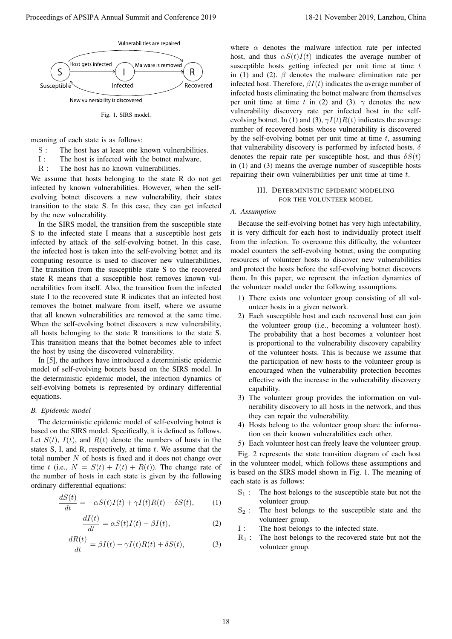

Fig. 1. SIRS model.

meaning of each state is as follows:

- S : The host has at least one known vulnerabilities.
- I : The host is infected with the botnet malware.
- R : The host has no known vulnerabilities.

We assume that hosts belonging to the state R do not get infected by known vulnerabilities. However, when the selfevolving botnet discovers a new vulnerability, their states transition to the state S. In this case, they can get infected by the new vulnerability.

In the SIRS model, the transition from the susceptible state S to the infected state I means that a susceptible host gets infected by attack of the self-evolving botnet. In this case, the infected host is taken into the self-evolving botnet and its computing resource is used to discover new vulnerabilities. The transition from the susceptible state S to the recovered state R means that a susceptible host removes known vulnerabilities from itself. Also, the transition from the infected state I to the recovered state R indicates that an infected host removes the botnet malware from itself, where we assume that all known vulnerabilities are removed at the same time. When the self-evolving botnet discovers a new vulnerability, all hosts belonging to the state R transitions to the state S. This transition means that the botnet becomes able to infect the host by using the discovered vulnerability. Proceeding of APSIPA Annual Summit and Conference 2019<br>
Some and that  $\frac{1}{2}$  November 2019, Lanzhou, China 18-21 November 2019, Lanzhou, China 18-21 November 2019, Lanzhou, China 18-21 November 2019, Lanzhou, China 18-

In [5], the authors have introduced a deterministic epidemic model of self-evolving botnets based on the SIRS model. In the deterministic epidemic model, the infection dynamics of self-evolving botnets is represented by ordinary differential equations.

## *B. Epidemic model*

The deterministic epidemic model of self-evolving botnet is based on the SIRS model. Specifically, it is defined as follows. Let  $S(t)$ ,  $I(t)$ , and  $R(t)$  denote the numbers of hosts in the states S, I, and R, respectively, at time *t*. We assume that the total number *N* of hosts is fixed and it does not change over time *t* (i.e.,  $N = S(t) + I(t) + R(t)$ ). The change rate of the number of hosts in each state is given by the following ordinary differential equations:

$$
\frac{dS(t)}{dt} = -\alpha S(t)I(t) + \gamma I(t)R(t) - \delta S(t),\tag{1}
$$

$$
\frac{dI(t)}{dt} = \alpha S(t)I(t) - \beta I(t),\tag{2}
$$

$$
\frac{dR(t)}{dt} = \beta I(t) - \gamma I(t)R(t) + \delta S(t),\tag{3}
$$

where  $\alpha$  denotes the malware infection rate per infected host, and thus  $\alpha S(t)I(t)$  indicates the average number of susceptible hosts getting infected per unit time at time *t* in (1) and (2).  $\beta$  denotes the malware elimination rate per infected host. Therefore,  $\beta I(t)$  indicates the average number of infected hosts eliminating the botnet malware from themselves per unit time at time *t* in (2) and (3).  $\gamma$  denotes the new vulnerability discovery rate per infected host in the selfevolving botnet. In (1) and (3),  $\gamma I(t)R(t)$  indicates the average number of recovered hosts whose vulnerability is discovered by the self-evolving botnet per unit time at time *t*, assuming that vulnerability discovery is performed by infected hosts. *δ* denotes the repair rate per susceptible host, and thus  $\delta S(t)$ in (1) and (3) means the average number of susceptible hosts repairing their own vulnerabilities per unit time at time *t*.

# III. DETERMINISTIC EPIDEMIC MODELING FOR THE VOLUNTEER MODEL

# *A. Assumption*

Because the self-evolving botnet has very high infectability, it is very difficult for each host to individually protect itself from the infection. To overcome this difficulty, the volunteer model counters the self-evolving botnet, using the computing resources of volunteer hosts to discover new vulnerabilities and protect the hosts before the self-evolving botnet discovers them. In this paper, we represent the infection dynamics of the volunteer model under the following assumptions.

- 1) There exists one volunteer group consisting of all volunteer hosts in a given network.
- 2) Each susceptible host and each recovered host can join the volunteer group (i.e., becoming a volunteer host). The probability that a host becomes a volunteer host is proportional to the vulnerability discovery capability of the volunteer hosts. This is because we assume that the participation of new hosts to the volunteer group is encouraged when the vulnerability protection becomes effective with the increase in the vulnerability discovery capability.
- 3) The volunteer group provides the information on vulnerability discovery to all hosts in the network, and thus they can repair the vulnerability.
- 4) Hosts belong to the volunteer group share the information on their known vulnerabilities each other.
- 5) Each volunteer host can freely leave the volunteer group.

Fig. 2 represents the state transition diagram of each host in the volunteer model, which follows these assumptions and is based on the SIRS model shown in Fig. 1. The meaning of each state is as follows:

- $S_1$ : The host belongs to the susceptible state but not the volunteer group.
- $S_2$ : The host belongs to the susceptible state and the volunteer group.
- I : The host belongs to the infected state.
- $R_1$ : The host belongs to the recovered state but not the volunteer group.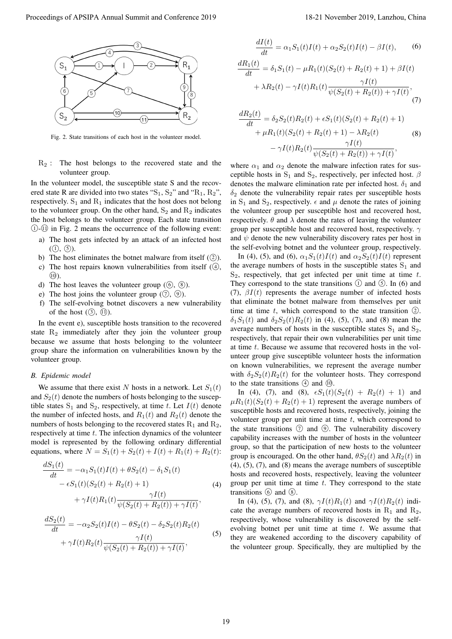

Fig. 2. State transitions of each host in the volunteer model.

 $R<sub>2</sub>$ : The host belongs to the recovered state and the volunteer group.

In the volunteer model, the susceptible state S and the recovered state R are divided into two states " $S_1$ ,  $S_2$ " and " $R_1$ ,  $R_2$ ", respectively.  $S_1$  and  $R_1$  indicates that the host does not belong to the volunteer group. On the other hand,  $S_2$  and  $R_2$  indicates the host belongs to the volunteer group. Each state transition *⃝*<sup>1</sup> -*⃝*<sup>11</sup> in Fig. 2 means the occurrence of the following event:

- a) The host gets infected by an attack of an infected host  $(1), (5)$ .
- b) The host eliminates the botnet malware from itself  $(2)$ .
- c) The host repairs known vulnerabilities from itself ( $\Phi$ ),  $\circled{10}$ .
- d) The host leaves the volunteer group  $(\mathcal{O}, \mathcal{B})$ .
- e) The host joins the volunteer group  $(\mathcal{D}, \mathcal{D})$ .
- f) The self-evolving botnet discovers a new vulnerability of the host  $(\mathcal{F}, \mathcal{F})$ .

In the event e), susceptible hosts transition to the recovered state  $R_2$  immediately after they join the volunteer group because we assume that hosts belonging to the volunteer group share the information on vulnerabilities known by the volunteer group.

# *B. Epidemic model*

We assume that there exist *N* hosts in a network. Let  $S_1(t)$ and  $S_2(t)$  denote the numbers of hosts belonging to the susceptible states  $S_1$  and  $S_2$ , respectively, at time *t*. Let  $I(t)$  denote the number of infected hosts, and  $R_1(t)$  and  $R_2(t)$  denote the numbers of hosts belonging to the recovered states  $R_1$  and  $R_2$ , respectively at time *t*. The infection dynamics of the volunteer model is represented by the following ordinary differential equations, where  $N = S_1(t) + S_2(t) + I(t) + R_1(t) + R_2(t)$ :

$$
\frac{dS_1(t)}{dt} = -\alpha_1 S_1(t)I(t) + \theta S_2(t) - \delta_1 S_1(t) \n- \epsilon S_1(t)(S_2(t) + R_2(t) + 1) \n+ \gamma I(t)R_1(t) \frac{\gamma I(t)}{\psi(S_2(t) + R_2(t)) + \gamma I(t)},
$$
\n(4)

$$
\frac{dS_2(t)}{dt} = -\alpha_2 S_2(t)I(t) - \theta S_2(t) - \delta_2 S_2(t)R_2(t) + \gamma I(t)R_2(t)\frac{\gamma I(t)}{\psi(S_2(t) + R_2(t)) + \gamma I(t)},
$$
\n(5)

$$
\frac{dI(t)}{dt} = \alpha_1 S_1(t)I(t) + \alpha_2 S_2(t)I(t) - \beta I(t), \qquad (6)
$$

$$
\frac{dR_1(t)}{dt} = \delta_1 S_1(t) - \mu R_1(t) (S_2(t) + R_2(t) + 1) + \beta I(t) \n+ \lambda R_2(t) - \gamma I(t) R_1(t) \frac{\gamma I(t)}{\psi(S_2(t) + R_2(t)) + \gamma I(t)},
$$
\n(7)

$$
\frac{dR_2(t)}{dt} = \delta_2 S_2(t) R_2(t) + \epsilon S_1(t) (S_2(t) + R_2(t) + 1)
$$
  
+  $\mu R_1(t) (S_2(t) + R_2(t) + 1) - \lambda R_2(t)$  (8)  
-  $\gamma I(t) R_2(t) \frac{\gamma I(t)}{\psi(S_2(t) + R_2(t)) + \gamma I(t)},$ 

where  $\alpha_1$  and  $\alpha_2$  denote the malware infection rates for susceptible hosts in  $S_1$  and  $S_2$ , respectively, per infected host.  $\beta$ denotes the malware elimination rate per infected host.  $\delta_1$  and *δ*<sup>2</sup> denote the vulnerability repair rates per susceptible hosts in  $S_1$  and  $S_2$ , respectively.  $\epsilon$  and  $\mu$  denote the rates of joining the volunteer group per susceptible host and recovered host, respectively.  $\theta$  and  $\lambda$  denote the rates of leaving the volunteer group per susceptible host and recovered host, respectively. *γ* and  $\psi$  denote the new vulnerability discovery rates per host in the self-evolving botnet and the volunteer group, respectively.

In (4), (5), and (6),  $\alpha_1 S_1(t)I(t)$  and  $\alpha_2 S_2(t)I(t)$  represent the average numbers of hosts in the susceptible states  $S_1$  and S2, respectively, that get infected per unit time at time *t*. They correspond to the state transitions ① and *⑤*. In (6) and (7),  $\beta I(t)$  represents the average number of infected hosts that eliminate the botnet malware from themselves per unit time at time  $t$ , which correspond to the state transition  $(2)$ . *δ*<sub>1</sub>*S*<sub>1</sub>(*t*) and *δ*<sub>2</sub>*S*<sub>2</sub>(*t*)*R*<sub>2</sub>(*t*) in (4), (5), (7), and (8) mean the average numbers of hosts in the susceptible states  $S_1$  and  $S_2$ , respectively, that repair their own vulnerabilities per unit time at time *t*. Because we assume that recovered hosts in the volunteer group give susceptible volunteer hosts the information on known vulnerabilities, we represent the average number with  $\delta_2 S_2(t) R_2(t)$  for the volunteer hosts. They correspond to the state transitions  $\Phi$  and  $\Phi$ . Proceeding of APSIPA Annual Summit and Conference 2019<br>  $\frac{d\theta_1(z)}{dz} = A_1\theta_1(z) + B_1\theta_2(z) + B_2\theta_3(z) + B_3\theta_4(z)$ <br>  $\frac{d\theta_2(z)}{dz} = A_1\theta_1(z) + B_1\theta_2(z) + B_2\theta_3(z) + B_3\theta_4(z)$ <br>  $\frac{d\theta_3(z)}{dz} = A_1\theta_2(z) + B_1\theta_3(z) + B_2\theta_5(z) + B_3\theta_$ 

In (4), (7), and (8),  $\epsilon S_1(t)(S_2(t) + R_2(t) + 1)$  and  $\mu R_1(t)(S_2(t) + R_2(t) + 1)$  represent the average numbers of susceptible hosts and recovered hosts, respectively, joining the volunteer group per unit time at time *t*, which correspond to the state transitions  $\circled{7}$  and  $\circled{9}$ . The vulnerability discovery capability increases with the number of hosts in the volunteer group, so that the participation of new hosts to the volunteer group is encouraged. On the other hand,  $\theta S_2(t)$  and  $\lambda R_2(t)$  in (4), (5), (7), and (8) means the average numbers of susceptible hosts and recovered hosts, respectively, leaving the volunteer group per unit time at time *t*. They correspond to the state transitions  $\circled{0}$  and  $\circled{8}$ .

In (4), (5), (7), and (8),  $\gamma I(t)R_1(t)$  and  $\gamma I(t)R_2(t)$  indicate the average numbers of recovered hosts in  $R_1$  and  $R_2$ , respectively, whose vulnerability is discovered by the selfevolving botnet per unit time at time *t*. We assume that they are weakened according to the discovery capability of the volunteer group. Specifically, they are multiplied by the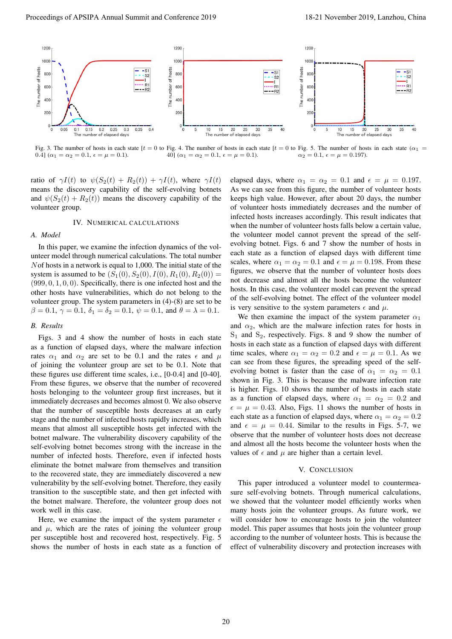

Fig. 3. The number of hosts in each state  $[t = 0$  to Fig. 4. The number of hosts in each state  $[t = 0$  to Fig. 5. The number of hosts in each state  $(\alpha_1 = 0)$  $0.4$ ]  $(\alpha_1 = \alpha_2 = 0.1, \epsilon = \mu = 0.1).$ 40]  $(\alpha_1 = \alpha_2 = 0.1, \epsilon = \mu = 0.1).$  $\alpha_2 = 0.1, \, \epsilon = \mu = 0.197.$ 

ratio of  $\gamma I(t)$  to  $\psi(S_2(t) + R_2(t)) + \gamma I(t)$ , where  $\gamma I(t)$ means the discovery capability of the self-evolving botnets and  $\psi(S_2(t) + R_2(t))$  means the discovery capability of the volunteer group.

#### IV. NUMERICAL CALCULATIONS

## *A. Model*

In this paper, we examine the infection dynamics of the volunteer model through numerical calculations. The total number *N*of hosts in a network is equal to 1,000. The initial state of the system is assumed to be  $(S_1(0), S_2(0), I(0), R_1(0), R_2(0)) =$ (999*,* 0*,* 1*,* 0*,* 0). Specifically, there is one infected host and the other hosts have vulnerabilities, which do not belong to the volunteer group. The system parameters in (4)-(8) are set to be  $\beta = 0.1, \gamma = 0.1, \delta_1 = \delta_2 = 0.1, \psi = 0.1, \text{ and } \theta = \lambda = 0.1.$ 

#### *B. Results*

Figs. 3 and 4 show the number of hosts in each state as a function of elapsed days, where the malware infection rates  $\alpha_1$  and  $\alpha_2$  are set to be 0.1 and the rates  $\epsilon$  and  $\mu$ of joining the volunteer group are set to be 0.1. Note that these figures use different time scales, i.e., [0-0.4] and [0-40]. From these figures, we observe that the number of recovered hosts belonging to the volunteer group first increases, but it immediately decreases and becomes almost 0. We also observe that the number of susceptible hosts decreases at an early stage and the number of infected hosts rapidly increases, which means that almost all susceptible hosts get infected with the botnet malware. The vulnerability discovery capability of the self-evolving botnet becomes strong with the increase in the number of infected hosts. Therefore, even if infected hosts eliminate the botnet malware from themselves and transition to the recovered state, they are immediately discovered a new vulnerability by the self-evolving botnet. Therefore, they easily transition to the susceptible state, and then get infected with the botnet malware. Therefore, the volunteer group does not work well in this case.

Here, we examine the impact of the system parameter  $\epsilon$ and  $\mu$ , which are the rates of joining the volunteer group per susceptible host and recovered host, respectively. Fig. 5 shows the number of hosts in each state as a function of

elapsed days, where  $\alpha_1 = \alpha_2 = 0.1$  and  $\epsilon = \mu = 0.197$ . As we can see from this figure, the number of volunteer hosts keeps high value. However, after about 20 days, the number of volunteer hosts immediately decreases and the number of infected hosts increases accordingly. This result indicates that when the number of volunteer hosts falls below a certain value, the volunteer model cannot prevent the spread of the selfevolving botnet. Figs. 6 and 7 show the number of hosts in each state as a function of elapsed days with different time scales, where  $\alpha_1 = \alpha_2 = 0.1$  and  $\epsilon = \mu = 0.198$ . From these figures, we observe that the number of volunteer hosts does not decrease and almost all the hosts become the volunteer hosts. In this case, the volunteer model can prevent the spread of the self-evolving botnet. The effect of the volunteer model is very sensitive to the system parameters  $\epsilon$  and  $\mu$ .

We then examine the impact of the system parameter  $\alpha_1$ and  $\alpha_2$ , which are the malware infection rates for hosts in  $S_1$  and  $S_2$ , respectively. Figs. 8 and 9 show the number of hosts in each state as a function of elapsed days with different time scales, where  $\alpha_1 = \alpha_2 = 0.2$  and  $\epsilon = \mu = 0.1$ . As we can see from these figures, the spreading speed of the selfevolving botnet is faster than the case of  $\alpha_1 = \alpha_2 = 0.1$ shown in Fig. 3. This is because the malware infection rate is higher. Figs. 10 shows the number of hosts in each state as a function of elapsed days, where  $\alpha_1 = \alpha_2 = 0.2$  and  $\epsilon = \mu = 0.43$ . Also, Figs. 11 shows the number of hosts in each state as a function of elapsed days, where  $\alpha_1 = \alpha_2 = 0.2$ and  $\epsilon = \mu = 0.44$ . Similar to the results in Figs. 5-7, we observe that the number of volunteer hosts does not decrease and almost all the hosts become the volunteer hosts when the values of  $\epsilon$  and  $\mu$  are higher than a certain level.

## V. CONCLUSION

This paper introduced a volunteer model to countermeasure self-evolving botnets. Through numerical calculations, we showed that the volunteer model efficiently works when many hosts join the volunteer groups. As future work, we will consider how to encourage hosts to join the volunteer model. This paper assumes that hosts join the volunteer group according to the number of volunteer hosts. This is because the effect of vulnerability discovery and protection increases with